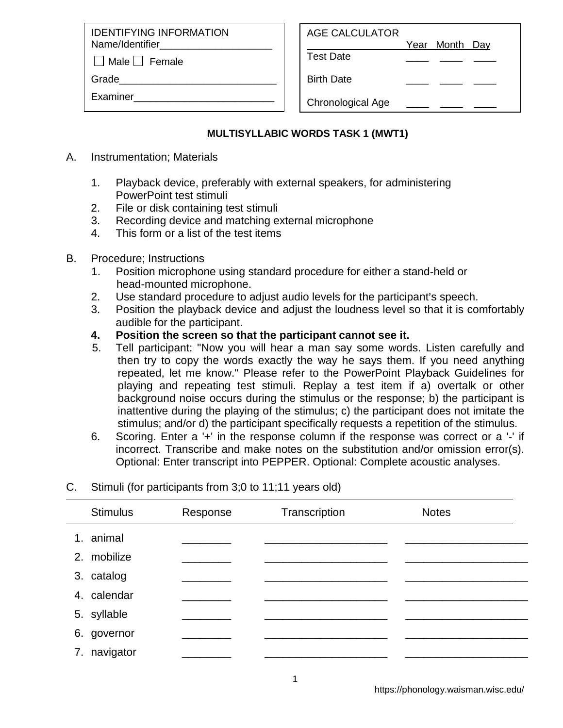IDENTIFYING INFORMATION Name/Identifier

 $\Box$  Male  $\Box$  Female

Grade

Examiner\_\_\_\_\_\_\_\_\_\_\_\_\_\_\_\_\_\_\_\_\_\_\_\_\_

| AGE CALCULATOR |                |  |
|----------------|----------------|--|
|                | Year Month Day |  |

Test Date \_\_\_\_ \_\_\_\_ \_\_\_\_

Birth Date

Chronological Age

## **MULTISYLLABIC WORDS TASK 1 (MWT1)**

- A. Instrumentation; Materials
	- 1. Playback device, preferably with external speakers, for administering PowerPoint test stimuli
	- 2. File or disk containing test stimuli
	- 3. Recording device and matching external microphone
	- 4. This form or a list of the test items
- B. Procedure; Instructions
	- 1. Position microphone using standard procedure for either a stand-held or head-mounted microphone.
	- 2. Use standard procedure to adjust audio levels for the participant's speech.
	- 3. Position the playback device and adjust the loudness level so that it is comfortably audible for the participant.
	- **4. Position the screen so that the participant cannot see it.**
	- 5. Tell participant: "Now you will hear a man say some words. Listen carefully and then try to copy the words exactly the way he says them. If you need anything repeated, let me know." Please refer to the PowerPoint Playback Guidelines for playing and repeating test stimuli. Replay a test item if a) overtalk or other background noise occurs during the stimulus or the response; b) the participant is inattentive during the playing of the stimulus; c) the participant does not imitate the stimulus; and/or d) the participant specifically requests a repetition of the stimulus.
	- 6. Scoring. Enter a '+' in the response column if the response was correct or a '-' if incorrect. Transcribe and make notes on the substitution and/or omission error(s). Optional: Enter transcript into PEPPER. Optional: Complete acoustic analyses.

## C. Stimuli (for participants from 3;0 to 11;11 years old)

|    | <b>Stimulus</b> | Response | Transcription | <b>Notes</b> |
|----|-----------------|----------|---------------|--------------|
|    | 1. animal       |          |               |              |
|    | 2. mobilize     |          |               |              |
|    | 3. catalog      |          |               |              |
|    | 4. calendar     |          |               |              |
|    | 5. syllable     |          |               |              |
|    | 6. governor     |          |               |              |
| 7. | navigator       |          |               |              |